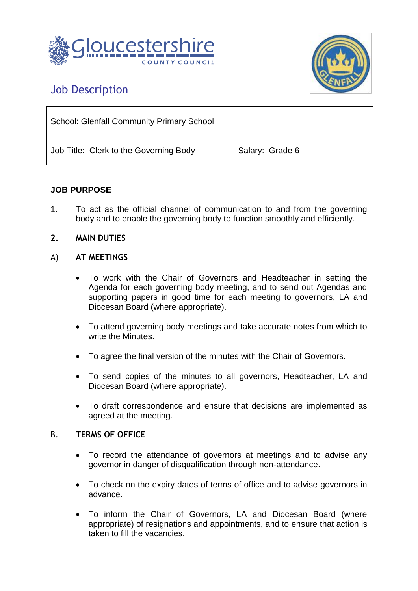



# Job Description

| <b>School: Glenfall Community Primary School</b> |                 |
|--------------------------------------------------|-----------------|
| Job Title: Clerk to the Governing Body           | Salary: Grade 6 |

# **JOB PURPOSE**

1. To act as the official channel of communication to and from the governing body and to enable the governing body to function smoothly and efficiently.

## **2. MAIN DUTIES**

## A) **AT MEETINGS**

- To work with the Chair of Governors and Headteacher in setting the Agenda for each governing body meeting, and to send out Agendas and supporting papers in good time for each meeting to governors, LA and Diocesan Board (where appropriate).
- To attend governing body meetings and take accurate notes from which to write the Minutes.
- To agree the final version of the minutes with the Chair of Governors.
- To send copies of the minutes to all governors, Headteacher, LA and Diocesan Board (where appropriate).
- To draft correspondence and ensure that decisions are implemented as agreed at the meeting.

### B. **TERMS OF OFFICE**

- To record the attendance of governors at meetings and to advise any governor in danger of disqualification through non-attendance.
- To check on the expiry dates of terms of office and to advise governors in advance.
- To inform the Chair of Governors, LA and Diocesan Board (where appropriate) of resignations and appointments, and to ensure that action is taken to fill the vacancies.